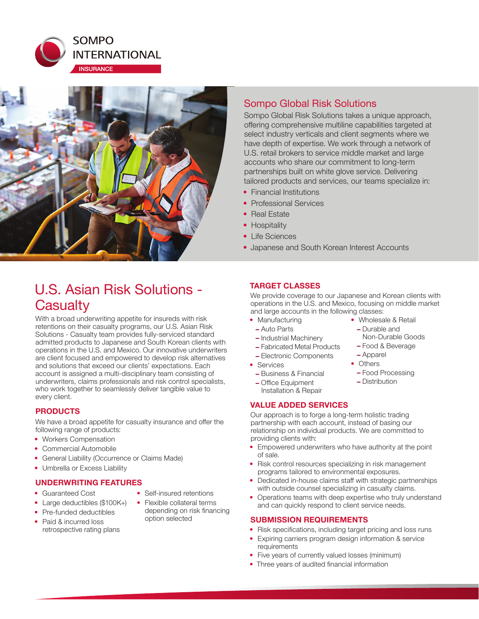



# Sompo Global Risk Solutions

Sompo Global Risk Solutions takes a unique approach, offering comprehensive multiline capabilities targeted at select industry verticals and client segments where we have depth of expertise. We work through a network of U.S. retail brokers to service middle market and large accounts who share our commitment to long-term partnerships built on white glove service. Delivering tailored products and services, our teams specialize in:

- Financial Institutions
- Professional Services
- Real Estate
- Hospitality
- Life Sciences
- Japanese and South Korean Interest Accounts

# U.S. Asian Risk Solutions - **Casualty**

With a broad underwriting appetite for insureds with risk retentions on their casualty programs, our U.S. Asian Risk Solutions - Casualty team provides fully-serviced standard admitted products to Japanese and South Korean clients with operations in the U.S. and Mexico. Our innovative underwriters are client focused and empowered to develop risk alternatives and solutions that exceed our clients' expectations. Each account is assigned a multi-disciplinary team consisting of underwriters, claims professionals and risk control specialists, who work together to seamlessly deliver tangible value to every client.

#### **PRODUCTS**

We have a broad appetite for casualty insurance and offer the following range of products:

- Workers Compensation
- Commercial Automobile
- General Liability (Occurrence or Claims Made)
- Umbrella or Excess Liability

#### **UNDERWRITING FEATURES**

- Guaranteed Cost
- Self-insured retentions
- Large deductibles (\$100K+)
- Pre-funded deductibles
- Paid & incurred loss retrospective rating plans
- 
- Flexible collateral terms depending on risk financing option selected

### **TARGET CLASSES**

We provide coverage to our Japanese and Korean clients with operations in the U.S. and Mexico, focusing on middle market and large accounts in the following classes:

- Manufacturing
	- Auto Parts
	- Industrial Machinery
	- Fabricated Metal Products
	- Electronic Components
- Services
	- Business & Financial
	- Office Equipment Installation & Repair

#### **VALUE ADDED SERVICES**

Our approach is to forge a long-term holistic trading partnership with each account, instead of basing our relationship on individual products. We are committed to providing clients with:

- Empowered underwriters who have authority at the point of sale.
- Risk control resources specializing in risk management programs tailored to environmental exposures.
- Dedicated in-house claims staff with strategic partnerships with outside counsel specializing in casualty claims.
- Operations teams with deep expertise who truly understand and can quickly respond to client service needs.

#### **SUBMISSION REQUIREMENTS**

- Risk specifications, including target pricing and loss runs
- Expiring carriers program design information & service requirements
- Five years of currently valued losses (minimum)
- Three years of audited financial information
- Wholesale & Retail – Durable and
	- Non-Durable Goods
	- Food & Beverage
	- Others
	- Food Processing
	- Distribution
- Apparel
	-
	-
	-